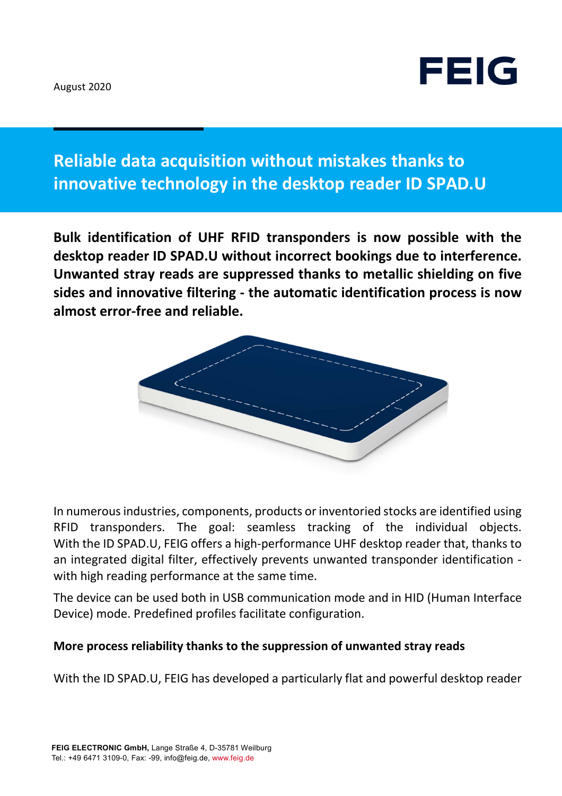

# **Reliable data acquisition without mistakes thanks to innovative technology in the desktop reader ID SPAD.U**

**Bulk identification of UHF RFID transponders is now possible with the desktop reader ID SPAD.U without incorrect bookings due to interference. Unwanted stray reads are suppressed thanks to metallic shielding on five sides and innovative filtering - the automatic identification process is now almost error-free and reliable.** 



In numerous industries, components, products or inventoried stocks are identified using RFID transponders. The goal: seamless tracking of the individual objects. With the ID SPAD.U, FEIG offers a high-performance UHF desktop reader that, thanks to an integrated digital filter, effectively prevents unwanted transponder identification with high reading performance at the same time.

The device can be used both in USB communication mode and in HID (Human Interface Device) mode. Predefined profiles facilitate configuration.

#### **More process reliability thanks to the suppression of unwanted stray reads**

With the ID SPAD.U, FEIG has developed a particularly flat and powerful desktop reader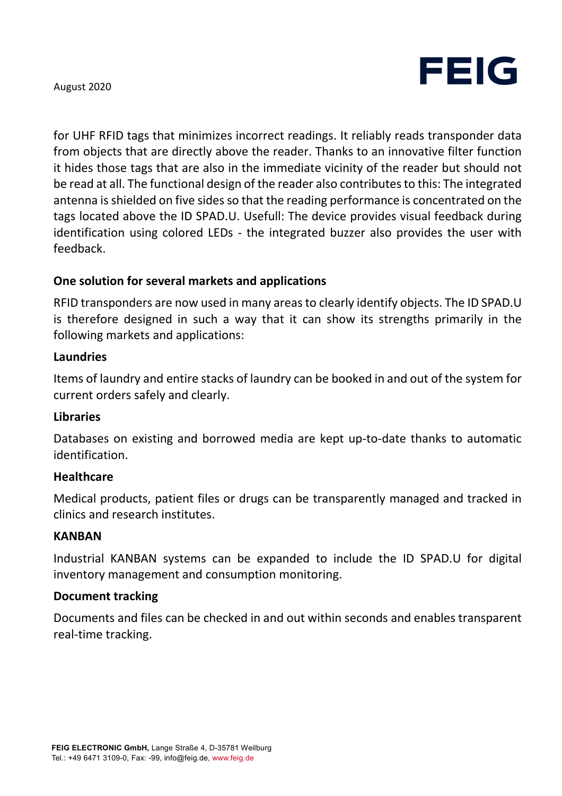

August 2020

for UHF RFID tags that minimizes incorrect readings. It reliably reads transponder data from objects that are directly above the reader. Thanks to an innovative filter function it hides those tags that are also in the immediate vicinity of the reader but should not be read at all. The functional design of the reader also contributes to this: The integrated antenna is shielded on five sides so that the reading performance is concentrated on the tags located above the ID SPAD.U. Usefull: The device provides visual feedback during identification using colored LEDs - the integrated buzzer also provides the user with feedback.

## **One solution for several markets and applications**

RFID transponders are now used in many areas to clearly identify objects. The ID SPAD.U is therefore designed in such a way that it can show its strengths primarily in the following markets and applications:

#### **Laundries**

Items of laundry and entire stacks of laundry can be booked in and out of the system for current orders safely and clearly.

### **Libraries**

Databases on existing and borrowed media are kept up-to-date thanks to automatic identification.

#### **Healthcare**

Medical products, patient files or drugs can be transparently managed and tracked in clinics and research institutes.

#### **KANBAN**

Industrial KANBAN systems can be expanded to include the ID SPAD.U for digital inventory management and consumption monitoring.

#### **Document tracking**

Documents and files can be checked in and out within seconds and enables transparent real-time tracking.